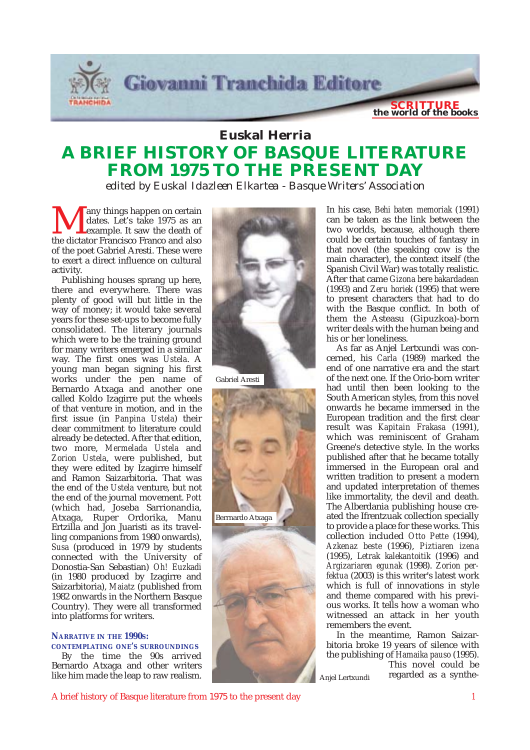

### **Euskal Herria A BRIEF HISTORY OF BASQUE LITERATURE FROM 1975 TO THE PRESENT DAY**

*edited by Euskal Idazleen Elkartea - Basque Writers' Association*

Many things happen on certain<br>dates. Let's take 1975 as an<br>the dictator Francisco Franco and also dates. Let's take 1975 as an example. It saw the death of of the poet Gabriel Aresti. These were to exert a direct influence on cultural activity.

Publishing houses sprang up here, there and everywhere. There was plenty of good will but little in the way of money; it would take several years for these set-ups to become fully consolidated. The literary journals which were to be the training ground for many writers emerged in a similar way. The first ones was *Ustela*. A young man began signing his first works under the pen name of Bernardo Atxaga and another one called Koldo Izagirre put the wheels of that venture in motion, and in the first issue (in *Panpina Ustela*) their clear commitment to literature could already be detected. After that edition, two more, *Mermelada Ustela* and *Zorion Ustela*, were published, but they were edited by Izagirre himself and Ramon Saizarbitoria. That was the end of the *Ustela* venture, but not the end of the journal movement. *Pott* (which had, Joseba Sarrionandia, Atxaga, Ruper Ordorika, Manu Ertzilla and Jon Juaristi as its travelling companions from 1980 onwards), *Susa* (produced in 1979 by students connected with the University of Donostia-San Sebastian) *Oh! Euzkadi* (in 1980 produced by Izagirre and Saizarbitoria), *Maiatz* (published from 1982 onwards in the Northern Basque Country). They were all transformed into platforms for writers.

### **NARRATIVE IN THE 1990S:**

#### **CONTEMPLATING ONE'S SURROUNDINGS**

By the time the 90s arrived Bernardo Atxaga and other writers like him made the leap to raw realism.



Gabriel Aresti



In his case, *Behi baten memoriak* (1991) can be taken as the link between the two worlds, because, although there could be certain touches of fantasy in that novel (the speaking cow is the main character), the context itself (the Spanish Civil War) was totally realistic. After that came *Gizona bere bakardadean* (1993) and *Zeru horiek* (1995) that were to present characters that had to do with the Basque conflict. In both of them the Asteasu (Gipuzkoa)-born writer deals with the human being and his or her loneliness.

As far as Anjel Lertxundi was concerned, his *Carla* (1989) marked the end of one narrative era and the start of the next one. If the Orio-born writer had until then been looking to the South American styles, from this novel onwards he became immersed in the European tradition and the first clear result was *Kapitain Frakasa* (1991), which was reminiscent of Graham Greene's detective style. In the works published after that he became totally immersed in the European oral and written tradition to present a modern and updated interpretation of themes like immortality, the devil and death. The Alberdania publishing house created the Ifrentzuak collection specially to provide a place for these works. This collection included *Otto Pette* (1994), *Azkenaz beste* (1996), *Piztiaren izena* (1995), *Letrak kalekantoitik* (1996) and *Argizariaren egunak* (1998). *Zorion perfektua* (2003) is this writer's latest work which is full of innovations in style and theme compared with his previous works. It tells how a woman who witnessed an attack in her youth remembers the event.

In the meantime, Ramon Saizarbitoria broke 19 years of silence with the publishing of *Hamaika pauso* (1995). This novel could be

regarded as a synthe-

Anjel Lertxundi

A brief history of Basque literature from 1975 to the present day *1*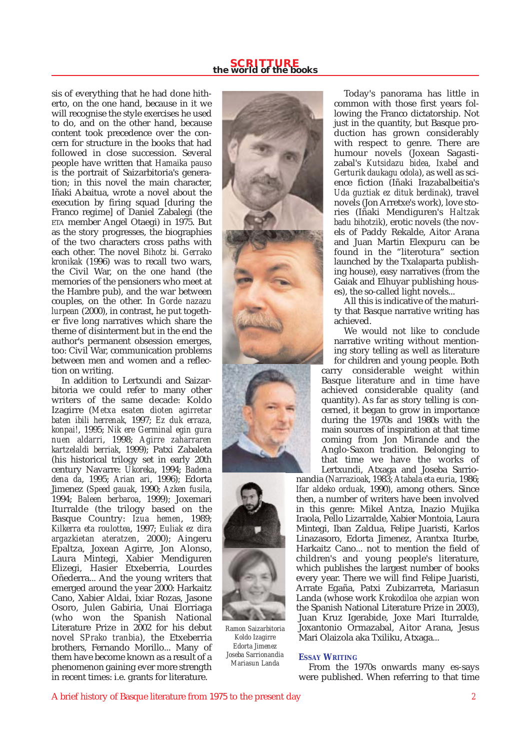sis of everything that he had done hitherto, on the one hand, because in it we will recognise the style exercises he used to do, and on the other hand, because content took precedence over the concern for structure in the books that had followed in close succession. Several people have written that *Hamaika pauso* is the portrait of Saizarbitoria's generation; in this novel the main character, Iñaki Abaitua, wrote a novel about the execution by firing squad [during the Franco regime] of Daniel Zabalegi (the ETA member Angel Otaegi) in 1975. But as the story progresses, the biographies of the two characters cross paths with each other. The novel *Bihotz bi. Gerrako kronikak* (1996) was to recall two wars, the Civil War, on the one hand (the memories of the pensioners who meet at the Hambre pub), and the war between couples, on the other. In *Gorde nazazu lurpean* (2000), in contrast, he put together five long narratives which share the theme of disinterment but in the end the author's permanent obsession emerges, too: Civil War, communication problems between men and women and a reflection on writing.

In addition to Lertxundi and Saizarbitoria we could refer to many other writers of the same decade: Koldo Izagirre (*Metxa esaten dioten agirretar baten ibili herrenak,* 1997; *Ez duk erraza, konpai!*, 1995; *Nik ere Germinal egin gura nuen aldarri*, 1998; *Agirre zaharraren kartzelaldi berriak*, 1999); Patxi Zabaleta (his historical trilogy set in early 20th century Navarre: *Ukoreka*, 1994; *Badena dena da*, 1995; *Arian ari*, 1996); Edorta Jimenez (*Speed gauak*, 1990; *Azken fusila*, 1994; *Baleen berbaroa*, 1999); Joxemari Iturralde (the trilogy based on the Basque Country: *Izua hemen*, 1989; *Kilkerra eta roulottea*, 1997; *Euliak ez dira argazkietan ateratzen*, 2000); Aingeru Epaltza, Joxean Agirre, Jon Alonso, Laura Mintegi, Xabier Mendiguren Elizegi, Hasier Etxeberria, Lourdes Oñederra... And the young writers that emerged around the year 2000: Harkaitz Cano, Xabier Aldai, Ixiar Rozas, Jasone Osoro, Julen Gabiria, Unai Elorriaga (who won the Spanish National Literature Prize in 2002 for his debut novel *SPrako tranbia*), the Etxeberria brothers, Fernando Morillo... Many of them have become known as a result of a phenomenon gaining ever more strength in recent times: i.e. grants for literature.





*Ramon Saizarbitoria Koldo Izagirre Edorta Jimenez Joseba Sarrionandia Mariasun Landa*

Today's panorama has little in common with those first years following the Franco dictatorship. Not just in the quantity, but Basque production has grown considerably with respect to genre. There are humour novels (Joxean Sagastizabal's *Kutsidazu bidea, Ixabel* and *Gerturik daukagu odola*), as well as science fiction (Iñaki Irazabalbeitia's *Uda guztiak ez dituk berdinak*), travel novels (Jon Arretxe's work), love stories (Iñaki Mendiguren's *Haltzak badu bihotzik*), erotic novels (the novels of Paddy Rekalde, Aitor Arana and Juan Martin Elexpuru can be found in the "literotura" section launched by the Txalaparta publishing house), easy narratives (from the Gaiak and Elhuyar publishing houses), the so-called light novels...

All this is indicative of the maturity that Basque narrative writing has achieved.

We would not like to conclude narrative writing without mentioning story telling as well as literature

for children and young people. Both carry considerable weight within Basque literature and in time have achieved considerable quality (and quantity). As far as story telling is concerned, it began to grow in importance during the 1970s and 1980s with the main sources of inspiration at that time coming from Jon Mirande and the Anglo-Saxon tradition. Belonging to that time we have the works of Lertxundi, Atxaga and Joseba Sarrio-

nandia (*Narrazioak*, 1983; *Atabala eta euria*, 1986; *Ifar aldeko orduak*, 1990), among others. Since then, a number of writers have been involved in this genre: Mikel Antza, Inazio Mujika Iraola, Pello Lizarralde, Xabier Montoia, Laura Mintegi, Iban Zaldua, Felipe Juaristi, Karlos Linazasoro, Edorta Jimenez, Arantxa Iturbe, Harkaitz Cano... not to mention the field of children's and young people's literature, which publishes the largest number of books every year. There we will find Felipe Juaristi, Arrate Egaña, Patxi Zubizarreta, Mariasun Landa (whose work *Krokodiloa ohe azpian* won the Spanish National Literature Prize in 2003), Juan Kruz Igerabide, Joxe Mari Iturralde, Joxantonio Ormazabal, Aitor Arana, Jesus Mari Olaizola aka Txiliku, Atxaga...

### **ESSAY WRITING**

From the 1970s onwards many es-says were published. When referring to that time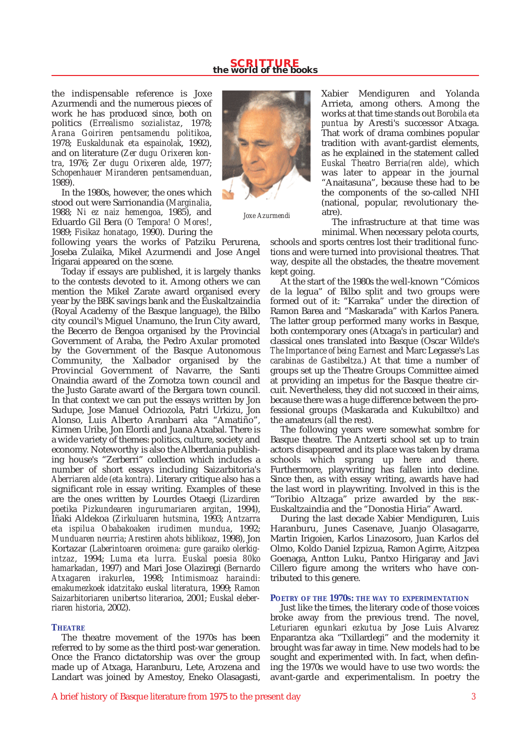# **SCRITTURE the world of the books**

the indispensable reference is Joxe Azurmendi and the numerous pieces of work he has produced since, both on politics (*Errealismo sozialistaz*, 1978; *Arana Goiriren pentsamendu politikoa*, 1978; *Euskaldunak eta espainolak*, 1992), and on literature (*Zer dugu Orixeren kontra*, 1976; *Zer dugu Orixeren alde*, 1977; *Schopenhauer Miranderen pentsamenduan*, 1989).

In the 1980s, however, the ones which stood out were Sarrionandia (*Marginalia*, 1988; *Ni ez naiz hemengoa*, 1985), and Eduardo Gil Bera (*O Tempora! O Mores!*, 1989; *Fisikaz honatago*, 1990). During the



*Joxe Azurmendi*

following years the works of Patziku Perurena, Joseba Zulaika, Mikel Azurmendi and Jose Angel Irigarai appeared on the scene.

Today if essays are published, it is largely thanks to the contests devoted to it. Among others we can mention the Mikel Zarate award organised every year by the BBK savings bank and the Euskaltzaindia (Royal Academy of the Basque language), the Bilbo city council's Miguel Unamuno, the Irun City award, the Becerro de Bengoa organised by the Provincial Government of Araba, the Pedro Axular promoted by the Government of the Basque Autonomous Community, the Xalbador organised by the Provincial Government of Navarre, the Santi Onaindia award of the Zornotza town council and the Justo Garate award of the Bergara town council. In that context we can put the essays written by Jon Sudupe, Jose Manuel Odriozola, Patri Urkizu, Jon Alonso, Luis Alberto Aranbarri aka "Amatiño", Kirmen Uribe, Jon Elordi and Juana Atxabal. There is a wide variety of themes: politics, culture, society and economy. Noteworthy is also the Alberdania publishing house's "Zerberri" collection which includes a number of short essays including Saizarbitoria's *Aberriaren alde (eta kontra)*. Literary critique also has a significant role in essay writing. Examples of these are the ones written by Lourdes Otaegi (*Lizardiren poetika Pizkundearen ingurumariaren argitan*, 1994), Iñaki Aldekoa (*Zirkuluaren hutsmina*, 1993; *Antzarra eta ispilua Obabakoaken irudimen mundua*, 1992; *Munduaren neurria*; *Arestiren ahots biblikoaz*, 1998), Jon Kortazar (*Laberintoaren oroimena: gure garaiko olerkigintzaz*, 1994; *Luma eta lurra. Euskal poesia 80ko hamarkadan*, 1997) and Mari Jose Olaziregi (*Bernardo Atxagaren irakurlea*, 1998; *Intimismoaz haraindi: emakumezkoek idatzitako euskal literatura*, 1999; *Ramon Saizarbitoriaren unibertso literarioa*, 2001; *Euskal eleberriaren historia*, 2002).

### **THEATRE**

The theatre movement of the 1970s has been referred to by some as the third post-war generation. Once the Franco dictatorship was over the group made up of Atxaga, Haranburu, Lete, Arozena and Landart was joined by Amestoy, Eneko Olasagasti, Xabier Mendiguren and Yolanda Arrieta, among others. Among the works at that time stands out *Borobila eta puntua* by Aresti's successor Atxaga. That work of drama combines popular tradition with avant-gardist elements, as he explained in the statement called *Euskal Theatro Berria(ren alde)*, which was later to appear in the journal "Anaitasuna", because these had to be the components of the so-called NHI (national, popular, revolutionary theatre).

The infrastructure at that time was minimal. When necessary pelota courts,

schools and sports centres lost their traditional functions and were turned into provisional theatres. That way, despite all the obstacles, the theatre movement kept going.

At the start of the 1980s the well-known "Cómicos de la legua" of Bilbo split and two groups were formed out of it: "Karraka" under the direction of Ramon Barea and "Maskarada" with Karlos Panera. The latter group performed many works in Basque, both contemporary ones (Atxaga's in particular) and classical ones translated into Basque (Oscar Wilde's *The Importance of being Earnest* and Marc Legasse's *Las carabinas de Gastibeltza*.) At that time a number of groups set up the Theatre Groups Committee aimed at providing an impetus for the Basque theatre circuit. Nevertheless, they did not succeed in their aims, because there was a huge difference between the professional groups (Maskarada and Kukubiltxo) and the amateurs (all the rest).

The following years were somewhat sombre for Basque theatre. The Antzerti school set up to train actors disappeared and its place was taken by drama schools which sprang up here and there. Furthermore, playwriting has fallen into decline. Since then, as with essay writing, awards have had the last word in playwriting. Involved in this is the "Toribio Altzaga" prize awarded by the BBK-Euskaltzaindia and the "Donostia Hiria" Award.

During the last decade Xabier Mendiguren, Luis Haranburu, Junes Casenave, Juanjo Olasagarre, Martin Irigoien, Karlos Linazosoro, Juan Karlos del Olmo, Koldo Daniel Izpizua, Ramon Agirre, Aitzpea Goenaga, Antton Luku, Pantxo Hirigaray and Javi Cillero figure among the writers who have contributed to this genere.

### **POETRY OF THE 1970S: THE WAY TO EXPERIMENTATION**

Just like the times, the literary code of those voices broke away from the previous trend. The novel, *Leturiaren egunkari ezkutua* by Jose Luis Alvarez Enparantza aka "Txillardegi" and the modernity it brought was far away in time. New models had to be sought and experimented with. In fact, when defining the 1970s we would have to use two words: the avant-garde and experimentalism. In poetry the